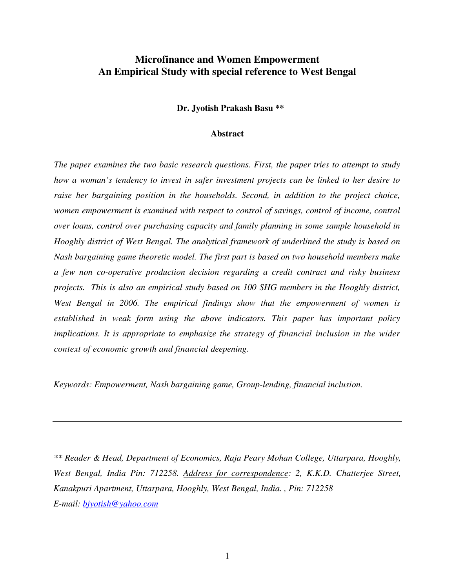# **Microfinance and Women Empowerment An Empirical Study with special reference to West Bengal**

**Dr. Jyotish Prakash Basu \*\*** 

#### **Abstract**

*The paper examines the two basic research questions. First, the paper tries to attempt to study how a woman's tendency to invest in safer investment projects can be linked to her desire to raise her bargaining position in the households. Second, in addition to the project choice, women empowerment is examined with respect to control of savings, control of income, control over loans, control over purchasing capacity and family planning in some sample household in Hooghly district of West Bengal. The analytical framework of underlined the study is based on Nash bargaining game theoretic model. The first part is based on two household members make a few non co-operative production decision regarding a credit contract and risky business projects. This is also an empirical study based on 100 SHG members in the Hooghly district, West Bengal in 2006. The empirical findings show that the empowerment of women is established in weak form using the above indicators. This paper has important policy implications. It is appropriate to emphasize the strategy of financial inclusion in the wider context of economic growth and financial deepening.*

*Keywords: Empowerment, Nash bargaining game, Group-lending, financial inclusion.* 

*\*\* Reader & Head, Department of Economics, Raja Peary Mohan College, Uttarpara, Hooghly, West Bengal, India Pin: 712258. Address for correspondence: 2, K.K.D. Chatterjee Street, Kanakpuri Apartment, Uttarpara, Hooghly, West Bengal, India. , Pin: 712258 E-mail: bjyotish@yahoo.com*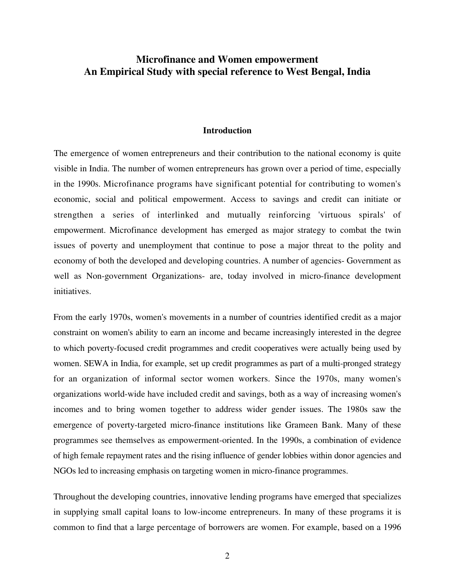# **Microfinance and Women empowerment An Empirical Study with special reference to West Bengal, India**

### **Introduction**

The emergence of women entrepreneurs and their contribution to the national economy is quite visible in India. The number of women entrepreneurs has grown over a period of time, especially in the 1990s. Microfinance programs have significant potential for contributing to women's economic, social and political empowerment. Access to savings and credit can initiate or strengthen a series of interlinked and mutually reinforcing 'virtuous spirals' of empowerment. Microfinance development has emerged as major strategy to combat the twin issues of poverty and unemployment that continue to pose a major threat to the polity and economy of both the developed and developing countries. A number of agencies- Government as well as Non-government Organizations- are, today involved in micro-finance development initiatives.

From the early 1970s, women's movements in a number of countries identified credit as a major constraint on women's ability to earn an income and became increasingly interested in the degree to which poverty-focused credit programmes and credit cooperatives were actually being used by women. SEWA in India, for example, set up credit programmes as part of a multi-pronged strategy for an organization of informal sector women workers. Since the 1970s, many women's organizations world-wide have included credit and savings, both as a way of increasing women's incomes and to bring women together to address wider gender issues. The 1980s saw the emergence of poverty-targeted micro-finance institutions like Grameen Bank. Many of these programmes see themselves as empowerment-oriented. In the 1990s, a combination of evidence of high female repayment rates and the rising influence of gender lobbies within donor agencies and NGOs led to increasing emphasis on targeting women in micro-finance programmes.

Throughout the developing countries, innovative lending programs have emerged that specializes in supplying small capital loans to low-income entrepreneurs. In many of these programs it is common to find that a large percentage of borrowers are women. For example, based on a 1996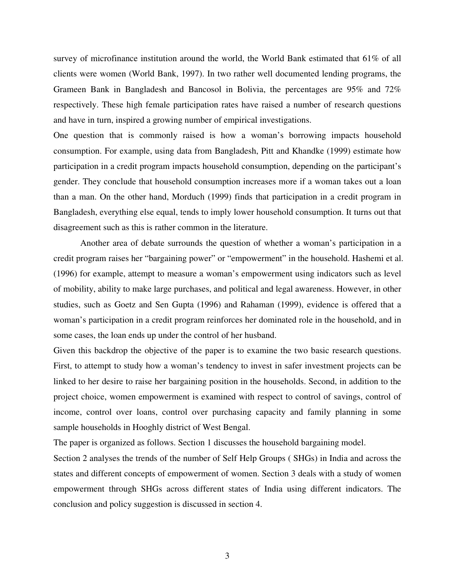survey of microfinance institution around the world, the World Bank estimated that 61% of all clients were women (World Bank, 1997). In two rather well documented lending programs, the Grameen Bank in Bangladesh and Bancosol in Bolivia, the percentages are 95% and 72% respectively. These high female participation rates have raised a number of research questions and have in turn, inspired a growing number of empirical investigations.

One question that is commonly raised is how a woman's borrowing impacts household consumption. For example, using data from Bangladesh, Pitt and Khandke (1999) estimate how participation in a credit program impacts household consumption, depending on the participant's gender. They conclude that household consumption increases more if a woman takes out a loan than a man. On the other hand, Morduch (1999) finds that participation in a credit program in Bangladesh, everything else equal, tends to imply lower household consumption. It turns out that disagreement such as this is rather common in the literature.

 Another area of debate surrounds the question of whether a woman's participation in a credit program raises her "bargaining power" or "empowerment" in the household. Hashemi et al. (1996) for example, attempt to measure a woman's empowerment using indicators such as level of mobility, ability to make large purchases, and political and legal awareness. However, in other studies, such as Goetz and Sen Gupta (1996) and Rahaman (1999), evidence is offered that a woman's participation in a credit program reinforces her dominated role in the household, and in some cases, the loan ends up under the control of her husband.

Given this backdrop the objective of the paper is to examine the two basic research questions. First, to attempt to study how a woman's tendency to invest in safer investment projects can be linked to her desire to raise her bargaining position in the households. Second, in addition to the project choice, women empowerment is examined with respect to control of savings, control of income, control over loans, control over purchasing capacity and family planning in some sample households in Hooghly district of West Bengal.

The paper is organized as follows. Section 1 discusses the household bargaining model.

Section 2 analyses the trends of the number of Self Help Groups ( SHGs) in India and across the states and different concepts of empowerment of women. Section 3 deals with a study of women empowerment through SHGs across different states of India using different indicators. The conclusion and policy suggestion is discussed in section 4.

3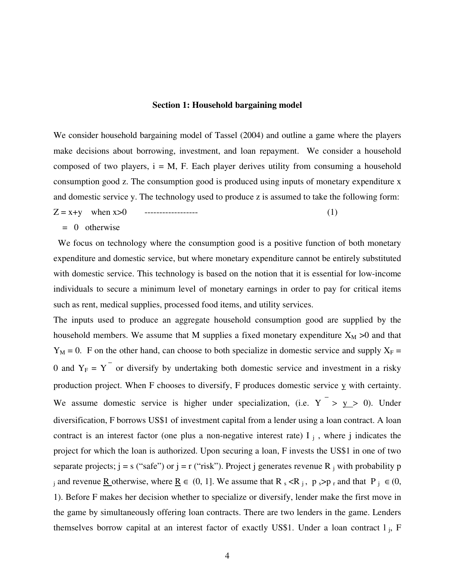#### **Section 1: Household bargaining model**

We consider household bargaining model of Tassel (2004) and outline a game where the players make decisions about borrowing, investment, and loan repayment. We consider a household composed of two players,  $i = M$ , F. Each player derives utility from consuming a household consumption good z. The consumption good is produced using inputs of monetary expenditure x and domestic service y. The technology used to produce z is assumed to take the following form:

$$
Z = x + y \quad when \ x > 0 \qquad \qquad (1)
$$

 $= 0$  otherwise

 We focus on technology where the consumption good is a positive function of both monetary expenditure and domestic service, but where monetary expenditure cannot be entirely substituted with domestic service. This technology is based on the notion that it is essential for low-income individuals to secure a minimum level of monetary earnings in order to pay for critical items such as rent, medical supplies, processed food items, and utility services.

The inputs used to produce an aggregate household consumption good are supplied by the household members. We assume that M supplies a fixed monetary expenditure  $X_M > 0$  and that  $Y_M = 0$ . F on the other hand, can choose to both specialize in domestic service and supply  $X_F =$ 0 and  $Y_F = Y$  or diversify by undertaking both domestic service and investment in a risky production project. When F chooses to diversify, F produces domestic service  $\underline{y}$  with certainty. We assume domestic service is higher under specialization, (i.e.  $Y^{-} > Y > 0$ ). Under diversification, F borrows US\$1 of investment capital from a lender using a loan contract. A loan contract is an interest factor (one plus a non-negative interest rate)  $I_j$ , where j indicates the project for which the loan is authorized. Upon securing a loan, F invests the US\$1 in one of two separate projects;  $j = s$  ("safe") or  $j = r$  ("risk"). Project j generates revenue R  $_j$  with probability p j and revenue <u>R</u> otherwise, where <u>R</u>  $\in$  (0, 1]. We assume that R s <R j, p s>p r and that P j  $\in$  (0, 1). Before F makes her decision whether to specialize or diversify, lender make the first move in the game by simultaneously offering loan contracts. There are two lenders in the game. Lenders themselves borrow capital at an interest factor of exactly US\$1. Under a loan contract l j, F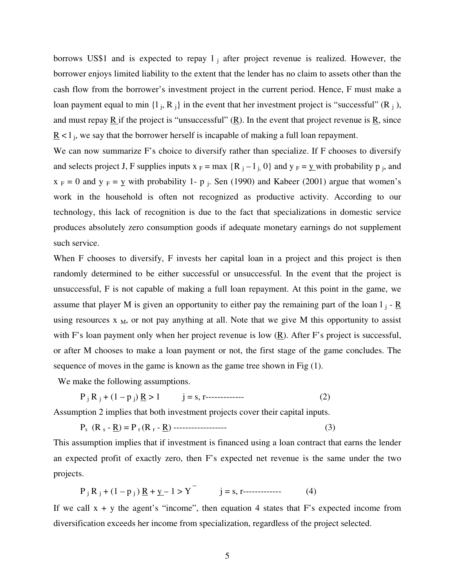borrows US\$1 and is expected to repay  $1<sub>i</sub>$  after project revenue is realized. However, the borrower enjoys limited liability to the extent that the lender has no claim to assets other than the cash flow from the borrower's investment project in the current period. Hence, F must make a loan payment equal to min  $\{1_j, R_j\}$  in the event that her investment project is "successful" (R<sub>j</sub>), and must repay  $\overline{R}$  if the project is "unsuccessful"  $(\overline{R})$ . In the event that project revenue is  $\overline{R}$ , since  $\underline{R}$  < 1<sub>j</sub>, we say that the borrower herself is incapable of making a full loan repayment.

We can now summarize F's choice to diversify rather than specialize. If F chooses to diversify and selects project J, F supplies inputs  $x_F = max \{R_j - l_j, 0\}$  and  $y_F = \underline{y}$  with probability p<sub>j</sub>, and  $x_F = 0$  and  $y_F = y$  with probability 1- p<sub>j</sub>. Sen (1990) and Kabeer (2001) argue that women's work in the household is often not recognized as productive activity. According to our technology, this lack of recognition is due to the fact that specializations in domestic service produces absolutely zero consumption goods if adequate monetary earnings do not supplement such service.

When F chooses to diversify, F invests her capital loan in a project and this project is then randomly determined to be either successful or unsuccessful. In the event that the project is unsuccessful, F is not capable of making a full loan repayment. At this point in the game, we assume that player M is given an opportunity to either pay the remaining part of the loan  $l_j$  -  $\underline{R}$ using resources  $x_{M}$ , or not pay anything at all. Note that we give M this opportunity to assist with F's loan payment only when her project revenue is low (R). After F's project is successful, or after M chooses to make a loan payment or not, the first stage of the game concludes. The sequence of moves in the game is known as the game tree shown in Fig (1).

We make the following assumptions.

$$
P_j R_j + (1 - p_j) R > 1 \t j = s, r
$$
 (2)

Assumption 2 implies that both investment projects cover their capital inputs.

$$
P_s (R_s - \underline{R}) = P_r (R_r - \underline{R})
$$
----- (3)

This assumption implies that if investment is financed using a loan contract that earns the lender an expected profit of exactly zero, then F's expected net revenue is the same under the two projects.

$$
P_j R_j + (1 - p_j) R + y - 1 > Y \t j = s, r
$$
 (4)

If we call  $x + y$  the agent's "income", then equation 4 states that F's expected income from diversification exceeds her income from specialization, regardless of the project selected.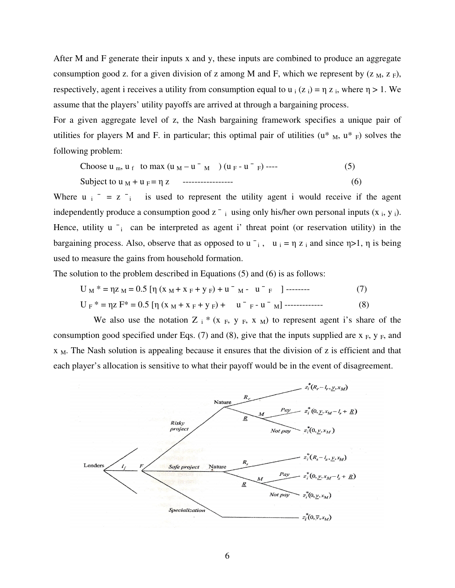After M and F generate their inputs x and y, these inputs are combined to produce an aggregate consumption good z. for a given division of z among M and F, which we represent by  $(Z_M, Z_F)$ , respectively, agent i receives a utility from consumption equal to  $u_i(z_i) = \eta z_i$ , where  $\eta > 1$ . We assume that the players' utility payoffs are arrived at through a bargaining process.

For a given aggregate level of z, the Nash bargaining framework specifies a unique pair of utilities for players M and F. in particular; this optimal pair of utilities  $(u^*_{M}, u^*_{F})$  solves the following problem:

Choose 
$$
u_m
$$
,  $u_f$  to max  $(u_M - u^-_M)$   $(u_F - u^-_F)$  ----(5)  
Subject to  $u_M + u_F = \eta z$  -----  
-(6)

Where  $u_i = z_i$  is used to represent the utility agent i would receive if the agent independently produce a consumption good  $z^-$  i using only his/her own personal inputs  $(x_i, y_i)$ . Hence, utility  $u_i$  can be interpreted as agent i' threat point (or reservation utility) in the bargaining process. Also, observe that as opposed to  $u_i$ ,  $u_i = \eta z_i$  and since  $\eta > 1$ ,  $\eta$  is being used to measure the gains from household formation.

The solution to the problem described in Equations (5) and (6) is as follows:

$$
U_M * = \eta Z_M = 0.5 [\eta (x_M + x_F + y_F) + u^-_{M} - u^-_{F}]
$$
----- (7)  

$$
U_F * = \eta Z F * = 0.5 [\eta (x_M + x_F + y_F) + u^-_{F} - u^-_{M}]
$$
----- (8)

We also use the notation Z  $_i$ <sup>\*</sup> (x  $_F$ , y  $_F$ , x  $_M$ ) to represent agent i's share of the consumption good specified under Eqs. (7) and (8), give that the inputs supplied are  $x_F$ ,  $y_F$ , and  $X_{M}$ . The Nash solution is appealing because it ensures that the division of z is efficient and that each player's allocation is sensitive to what their payoff would be in the event of disagreement.

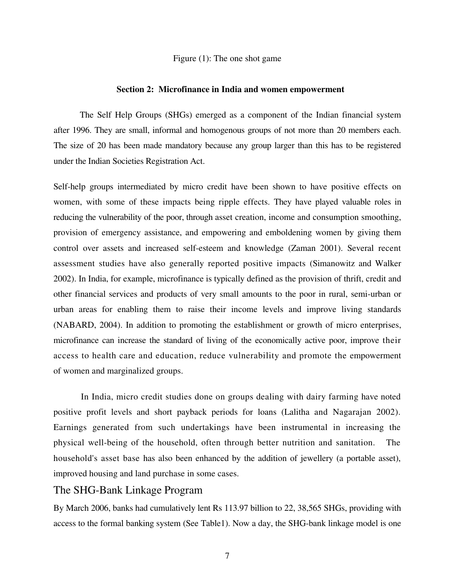Figure (1): The one shot game

#### **Section 2: Microfinance in India and women empowerment**

The Self Help Groups (SHGs) emerged as a component of the Indian financial system after 1996. They are small, informal and homogenous groups of not more than 20 members each. The size of 20 has been made mandatory because any group larger than this has to be registered under the Indian Societies Registration Act.

Self-help groups intermediated by micro credit have been shown to have positive effects on women, with some of these impacts being ripple effects. They have played valuable roles in reducing the vulnerability of the poor, through asset creation, income and consumption smoothing, provision of emergency assistance, and empowering and emboldening women by giving them control over assets and increased self-esteem and knowledge (Zaman 2001). Several recent assessment studies have also generally reported positive impacts (Simanowitz and Walker 2002). In India, for example, microfinance is typically defined as the provision of thrift, credit and other financial services and products of very small amounts to the poor in rural, semi-urban or urban areas for enabling them to raise their income levels and improve living standards (NABARD, 2004). In addition to promoting the establishment or growth of micro enterprises, microfinance can increase the standard of living of the economically active poor, improve their access to health care and education, reduce vulnerability and promote the empowerment of women and marginalized groups.

 In India, micro credit studies done on groups dealing with dairy farming have noted positive profit levels and short payback periods for loans (Lalitha and Nagarajan 2002). Earnings generated from such undertakings have been instrumental in increasing the physical well-being of the household, often through better nutrition and sanitation. The household's asset base has also been enhanced by the addition of jewellery (a portable asset), improved housing and land purchase in some cases.

## The SHG-Bank Linkage Program

By March 2006, banks had cumulatively lent Rs 113.97 billion to 22, 38,565 SHGs, providing with access to the formal banking system (See Table1). Now a day, the SHG-bank linkage model is one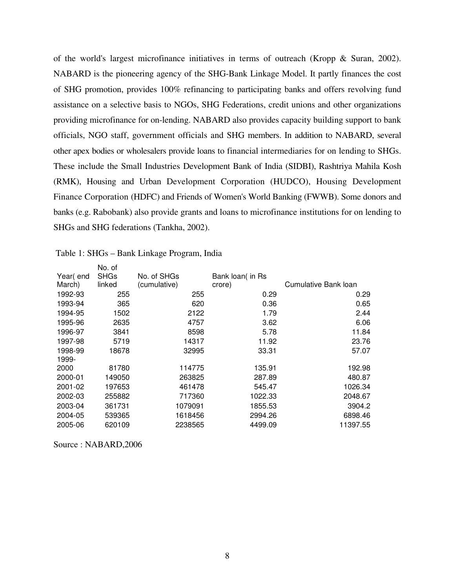of the world's largest microfinance initiatives in terms of outreach (Kropp & Suran, 2002). NABARD is the pioneering agency of the SHG-Bank Linkage Model. It partly finances the cost of SHG promotion, provides 100% refinancing to participating banks and offers revolving fund assistance on a selective basis to NGOs, SHG Federations, credit unions and other organizations providing microfinance for on-lending. NABARD also provides capacity building support to bank officials, NGO staff, government officials and SHG members. In addition to NABARD, several other apex bodies or wholesalers provide loans to financial intermediaries for on lending to SHGs. These include the Small Industries Development Bank of India (SIDBI), Rashtriya Mahila Kosh (RMK), Housing and Urban Development Corporation (HUDCO), Housing Development Finance Corporation (HDFC) and Friends of Women's World Banking (FWWB). Some donors and banks (e.g. Rabobank) also provide grants and loans to microfinance institutions for on lending to SHGs and SHG federations (Tankha, 2002).

|          | No. of      |              |                  |                      |
|----------|-------------|--------------|------------------|----------------------|
| Year(end | <b>SHGs</b> | No. of SHGs  | Bank loan( in Rs |                      |
| March)   | linked      | (cumulative) | crore)           | Cumulative Bank Ioan |
| 1992-93  | 255         | 255          | 0.29             | 0.29                 |
| 1993-94  | 365         | 620          | 0.36             | 0.65                 |
| 1994-95  | 1502        | 2122         | 1.79             | 2.44                 |
| 1995-96  | 2635        | 4757         | 3.62             | 6.06                 |
| 1996-97  | 3841        | 8598         | 5.78             | 11.84                |
| 1997-98  | 5719        | 14317        | 11.92            | 23.76                |
| 1998-99  | 18678       | 32995        | 33.31            | 57.07                |
| 1999-    |             |              |                  |                      |
| 2000     | 81780       | 114775       | 135.91           | 192.98               |
| 2000-01  | 149050      | 263825       | 287.89           | 480.87               |
| 2001-02  | 197653      | 461478       | 545.47           | 1026.34              |
| 2002-03  | 255882      | 717360       | 1022.33          | 2048.67              |
| 2003-04  | 361731      | 1079091      | 1855.53          | 3904.2               |
| 2004-05  | 539365      | 1618456      | 2994.26          | 6898.46              |
| 2005-06  | 620109      | 2238565      | 4499.09          | 11397.55             |
|          |             |              |                  |                      |

| Table 1: SHGs – Bank Linkage Program, India |  |  |
|---------------------------------------------|--|--|
|                                             |  |  |

Source : NABARD,2006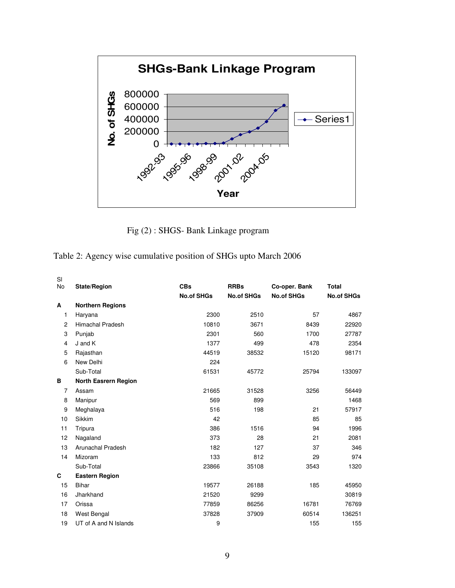

Fig (2) : SHGS- Bank Linkage program

Table 2: Agency wise cumulative position of SHGs upto March 2006

| SI<br>No       | State/Region                | <b>CBs</b>        | <b>RRBs</b>       | Co-oper. Bank     | <b>Total</b>      |
|----------------|-----------------------------|-------------------|-------------------|-------------------|-------------------|
|                |                             | <b>No.of SHGs</b> | <b>No.of SHGs</b> | <b>No.of SHGs</b> | <b>No.of SHGs</b> |
| A              | <b>Northern Regions</b>     |                   |                   |                   |                   |
| 1              | Haryana                     | 2300              | 2510              | 57                | 4867              |
| $\overline{c}$ | <b>Himachal Pradesh</b>     | 10810             | 3671              | 8439              | 22920             |
| 3              | Punjab                      | 2301              | 560               | 1700              | 27787             |
| 4              | J and K                     | 1377              | 499               | 478               | 2354              |
| 5              | Rajasthan                   | 44519             | 38532             | 15120             | 98171             |
| 6              | New Delhi                   | 224               |                   |                   |                   |
|                | Sub-Total                   | 61531             | 45772             | 25794             | 133097            |
| в              | <b>North Easrern Region</b> |                   |                   |                   |                   |
| $\overline{7}$ | Assam                       | 21665             | 31528             | 3256              | 56449             |
| 8              | Manipur                     | 569               | 899               |                   | 1468              |
| 9              | Meghalaya                   | 516               | 198               | 21                | 57917             |
| 10             | <b>Sikkim</b>               | 42                |                   | 85                | 85                |
| 11             | Tripura                     | 386               | 1516              | 94                | 1996              |
| 12             | Nagaland                    | 373               | 28                | 21                | 2081              |
| 13             | <b>Arunachal Pradesh</b>    | 182               | 127               | 37                | 346               |
| 14             | Mizoram                     | 133               | 812               | 29                | 974               |
|                | Sub-Total                   | 23866             | 35108             | 3543              | 1320              |
| C              | <b>Eastern Region</b>       |                   |                   |                   |                   |
| 15             | <b>Bihar</b>                | 19577             | 26188             | 185               | 45950             |
| 16             | Jharkhand                   | 21520             | 9299              |                   | 30819             |
| 17             | Orissa                      | 77859             | 86256             | 16781             | 76769             |
| 18             | West Bengal                 | 37828             | 37909             | 60514             | 136251            |
| 19             | UT of A and N Islands       | 9                 |                   | 155               | 155               |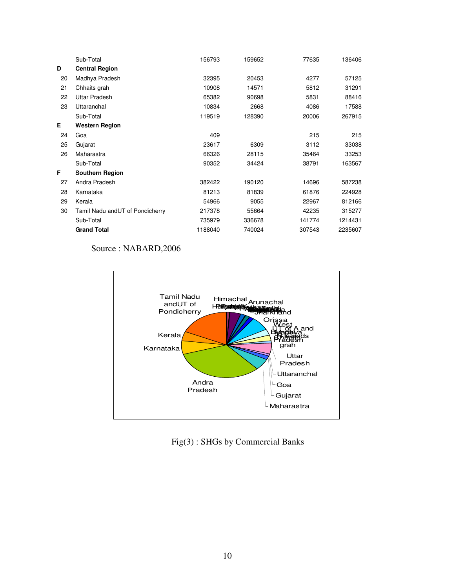|    | Sub-Total                       | 156793  | 159652 | 77635  | 136406  |
|----|---------------------------------|---------|--------|--------|---------|
| D  | <b>Central Region</b>           |         |        |        |         |
| 20 | Madhya Pradesh                  | 32395   | 20453  | 4277   | 57125   |
| 21 | Chhaits grah                    | 10908   | 14571  | 5812   | 31291   |
| 22 | <b>Uttar Pradesh</b>            | 65382   | 90698  | 5831   | 88416   |
| 23 | Uttaranchal                     | 10834   | 2668   | 4086   | 17588   |
|    | Sub-Total                       | 119519  | 128390 | 20006  | 267915  |
| Е  | <b>Western Region</b>           |         |        |        |         |
| 24 | Goa                             | 409     |        | 215    | 215     |
| 25 | Gujarat                         | 23617   | 6309   | 3112   | 33038   |
| 26 | Maharastra                      | 66326   | 28115  | 35464  | 33253   |
|    | Sub-Total                       | 90352   | 34424  | 38791  | 163567  |
| F. | <b>Southern Region</b>          |         |        |        |         |
| 27 | Andra Pradesh                   | 382422  | 190120 | 14696  | 587238  |
| 28 | Karnataka                       | 81213   | 81839  | 61876  | 224928  |
| 29 | Kerala                          | 54966   | 9055   | 22967  | 812166  |
| 30 | Tamil Nadu andUT of Pondicherry | 217378  | 55664  | 42235  | 315277  |
|    | Sub-Total                       | 735979  | 336678 | 141774 | 1214431 |
|    | <b>Grand Total</b>              | 1188040 | 740024 | 307543 | 2235607 |

## Source : NABARD,2006



Fig(3) : SHGs by Commercial Banks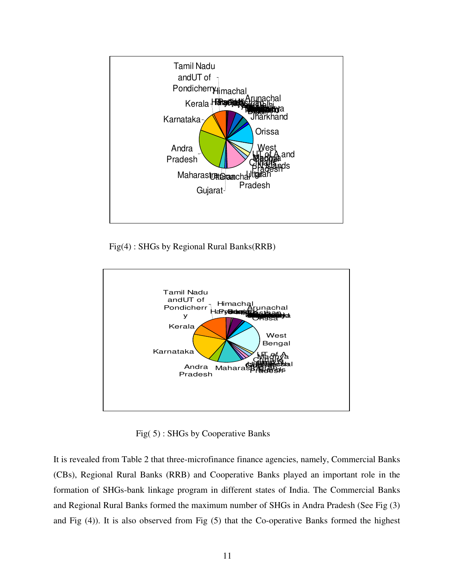

Fig(4) : SHGs by Regional Rural Banks(RRB)



Fig( 5) : SHGs by Cooperative Banks

It is revealed from Table 2 that three-microfinance finance agencies, namely, Commercial Banks (CBs), Regional Rural Banks (RRB) and Cooperative Banks played an important role in the formation of SHGs-bank linkage program in different states of India. The Commercial Banks and Regional Rural Banks formed the maximum number of SHGs in Andra Pradesh (See Fig (3) and Fig (4)). It is also observed from Fig (5) that the Co-operative Banks formed the highest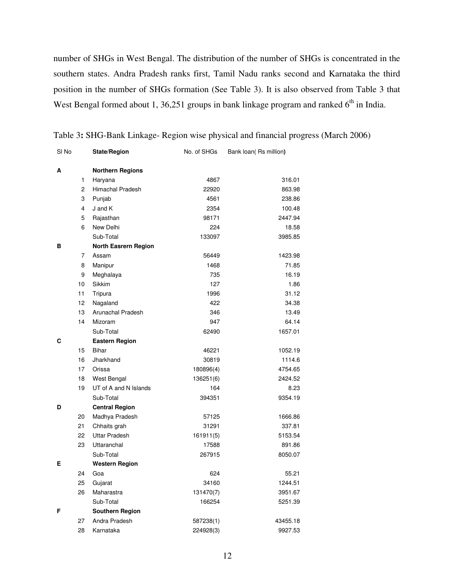number of SHGs in West Bengal. The distribution of the number of SHGs is concentrated in the southern states. Andra Pradesh ranks first, Tamil Nadu ranks second and Karnataka the third position in the number of SHGs formation (See Table 3). It is also observed from Table 3 that West Bengal formed about 1, 36,251 groups in bank linkage program and ranked  $6<sup>th</sup>$  in India.

| SI No |                | State/Region                | No. of SHGs | Bank loan(Rs million) |
|-------|----------------|-----------------------------|-------------|-----------------------|
| А     |                | <b>Northern Regions</b>     |             |                       |
|       | 1              | Haryana                     | 4867        | 316.01                |
|       | $\overline{c}$ | Himachal Pradesh            | 22920       | 863.98                |
|       | 3              | Punjab                      | 4561        | 238.86                |
|       | 4              | J and K                     | 2354        | 100.48                |
|       | 5              | Rajasthan                   | 98171       | 2447.94               |
|       | 6              | New Delhi                   | 224         | 18.58                 |
|       |                | Sub-Total                   | 133097      | 3985.85               |
| в     |                | <b>North Easrern Region</b> |             |                       |
|       | 7              | Assam                       | 56449       | 1423.98               |
|       | 8              | Manipur                     | 1468        | 71.85                 |
|       | 9              | Meghalaya                   | 735         | 16.19                 |
|       | 10             | Sikkim                      | 127         | 1.86                  |
|       | 11             | Tripura                     | 1996        | 31.12                 |
|       | 12             | Nagaland                    | 422         | 34.38                 |
|       | 13             | Arunachal Pradesh           | 346         | 13.49                 |
|       | 14             | Mizoram                     | 947         | 64.14                 |
|       |                | Sub-Total                   | 62490       | 1657.01               |
| С     |                | <b>Eastern Region</b>       |             |                       |
|       | 15             | <b>Bihar</b>                | 46221       | 1052.19               |
|       | 16             | Jharkhand                   | 30819       | 1114.6                |
|       | 17             | Orissa                      | 180896(4)   | 4754.65               |
|       | 18             | West Bengal                 | 136251(6)   | 2424.52               |
|       | 19             | UT of A and N Islands       | 164         | 8.23                  |
|       |                | Sub-Total                   | 394351      | 9354.19               |
| D     |                | <b>Central Region</b>       |             |                       |
|       | 20             | Madhya Pradesh              | 57125       | 1666.86               |
|       | 21             | Chhaits grah                | 31291       | 337.81                |
|       | 22             | <b>Uttar Pradesh</b>        | 161911(5)   | 5153.54               |
|       | 23             | Uttaranchal                 | 17588       | 891.86                |
|       |                | Sub-Total                   | 267915      | 8050.07               |
| Е     |                | <b>Western Region</b>       |             |                       |
|       | 24             | Goa                         | 624         | 55.21                 |
|       | 25             | Gujarat                     | 34160       | 1244.51               |
|       | 26             | Maharastra                  | 131470(7)   | 3951.67               |
|       |                | Sub-Total                   | 166254      | 5251.39               |
| F     |                | <b>Southern Region</b>      |             |                       |
|       | 27             | Andra Pradesh               | 587238(1)   | 43455.18              |
|       | 28             | Karnataka                   | 224928(3)   | 9927.53               |

Table 3**:** SHG-Bank Linkage- Region wise physical and financial progress (March 2006)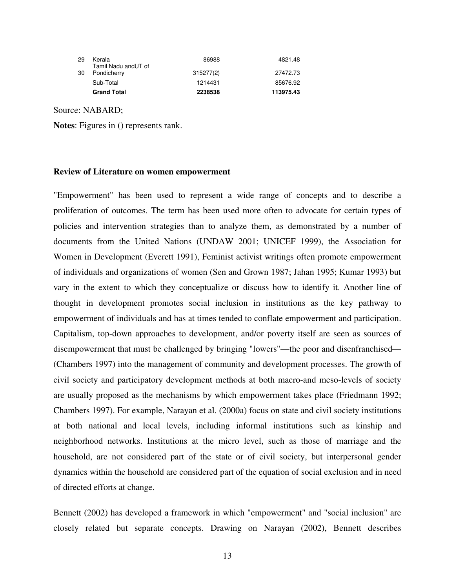| 29 | Kerala<br>Tamil Nadu andUT of | 86988     | 4821.48   |
|----|-------------------------------|-----------|-----------|
| 30 | Pondicherry                   | 315277(2) | 27472.73  |
|    |                               |           |           |
|    | Sub-Total                     | 1214431   | 85676.92  |
|    | <b>Grand Total</b>            | 2238538   | 113975.43 |

Source: NABARD;

**Notes**: Figures in () represents rank.

#### **Review of Literature on women empowerment**

"Empowerment" has been used to represent a wide range of concepts and to describe a proliferation of outcomes. The term has been used more often to advocate for certain types of policies and intervention strategies than to analyze them, as demonstrated by a number of documents from the United Nations (UNDAW 2001; UNICEF 1999), the Association for Women in Development (Everett 1991), Feminist activist writings often promote empowerment of individuals and organizations of women (Sen and Grown 1987; Jahan 1995; Kumar 1993) but vary in the extent to which they conceptualize or discuss how to identify it. Another line of thought in development promotes social inclusion in institutions as the key pathway to empowerment of individuals and has at times tended to conflate empowerment and participation. Capitalism, top-down approaches to development, and/or poverty itself are seen as sources of disempowerment that must be challenged by bringing "lowers"—the poor and disenfranchised— (Chambers 1997) into the management of community and development processes. The growth of civil society and participatory development methods at both macro-and meso-levels of society are usually proposed as the mechanisms by which empowerment takes place (Friedmann 1992; Chambers 1997). For example, Narayan et al. (2000a) focus on state and civil society institutions at both national and local levels, including informal institutions such as kinship and neighborhood networks. Institutions at the micro level, such as those of marriage and the household, are not considered part of the state or of civil society, but interpersonal gender dynamics within the household are considered part of the equation of social exclusion and in need of directed efforts at change.

Bennett (2002) has developed a framework in which "empowerment" and "social inclusion" are closely related but separate concepts. Drawing on Narayan (2002), Bennett describes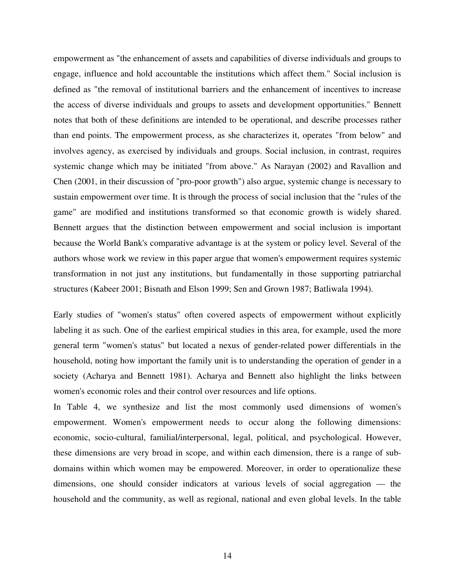empowerment as "the enhancement of assets and capabilities of diverse individuals and groups to engage, influence and hold accountable the institutions which affect them." Social inclusion is defined as "the removal of institutional barriers and the enhancement of incentives to increase the access of diverse individuals and groups to assets and development opportunities." Bennett notes that both of these definitions are intended to be operational, and describe processes rather than end points. The empowerment process, as she characterizes it, operates "from below" and involves agency, as exercised by individuals and groups. Social inclusion, in contrast, requires systemic change which may be initiated "from above." As Narayan (2002) and Ravallion and Chen (2001, in their discussion of "pro-poor growth") also argue, systemic change is necessary to sustain empowerment over time. It is through the process of social inclusion that the "rules of the game" are modified and institutions transformed so that economic growth is widely shared. Bennett argues that the distinction between empowerment and social inclusion is important because the World Bank's comparative advantage is at the system or policy level. Several of the authors whose work we review in this paper argue that women's empowerment requires systemic transformation in not just any institutions, but fundamentally in those supporting patriarchal structures (Kabeer 2001; Bisnath and Elson 1999; Sen and Grown 1987; Batliwala 1994).

Early studies of "women's status" often covered aspects of empowerment without explicitly labeling it as such. One of the earliest empirical studies in this area, for example, used the more general term "women's status" but located a nexus of gender-related power differentials in the household, noting how important the family unit is to understanding the operation of gender in a society (Acharya and Bennett 1981). Acharya and Bennett also highlight the links between women's economic roles and their control over resources and life options.

In Table 4, we synthesize and list the most commonly used dimensions of women's empowerment. Women's empowerment needs to occur along the following dimensions: economic, socio-cultural, familial/interpersonal, legal, political, and psychological. However, these dimensions are very broad in scope, and within each dimension, there is a range of subdomains within which women may be empowered. Moreover, in order to operationalize these dimensions, one should consider indicators at various levels of social aggregation — the household and the community, as well as regional, national and even global levels. In the table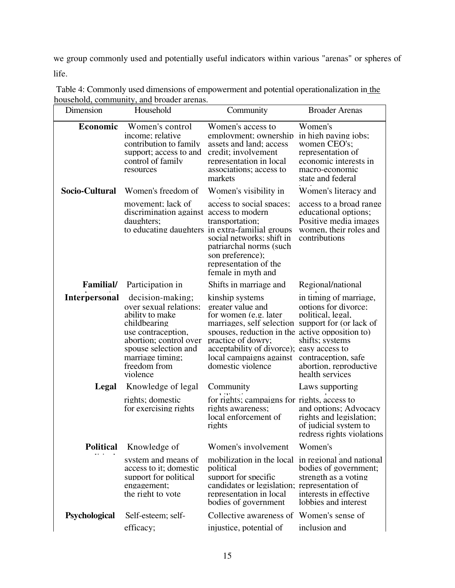we group commonly used and potentially useful indicators within various "arenas" or spheres of life.

| Dimension        | Household                                                                                                                                                                                             | Community                                                                                                                                                                                                                                                                                                   | <b>Broader Arenas</b>                                                                                                                |
|------------------|-------------------------------------------------------------------------------------------------------------------------------------------------------------------------------------------------------|-------------------------------------------------------------------------------------------------------------------------------------------------------------------------------------------------------------------------------------------------------------------------------------------------------------|--------------------------------------------------------------------------------------------------------------------------------------|
| Economic         | Women's control<br>income; relative<br>contribution to family<br>support; access to and<br>control of family<br>resources                                                                             | Women's access to<br>employment; ownership<br>assets and land; access<br>credit; involvement<br>representation in local<br>associations; access to<br>markets                                                                                                                                               | Women's<br>in high paying jobs:<br>women CEO's;<br>representation of<br>economic interests in<br>macro-economic<br>state and federal |
| Socio-Cultural   | Women's freedom of                                                                                                                                                                                    | Women's visibility in                                                                                                                                                                                                                                                                                       | Women's literacy and                                                                                                                 |
|                  | movement; lack of<br>discrimination against access to modern<br>daughters;                                                                                                                            | access to social spaces;<br>transportation;<br>to educating daughters in extra-familial groups<br>social networks: shift in<br>patriarchal norms (such<br>son preference);<br>representation of the<br>female in myth and                                                                                   | access to a broad range<br>educational options;<br>Positive media images<br>women, their roles and<br>contributions                  |
| Familial/        | Participation in                                                                                                                                                                                      | Shifts in marriage and                                                                                                                                                                                                                                                                                      | Regional/national                                                                                                                    |
| Interpersonal    | decision-making;<br>over sexual relations:<br>ability to make<br>childbearing<br>use contraception,<br>abortion; control over<br>spouse selection and<br>marriage timing;<br>freedom from<br>violence | kinship systems<br>greater value and<br>for women (e.g. later<br>marriages, self selection support for (or lack of<br>spouses, reduction in the active opposition to<br>practice of dowry:<br>acceptability of divorce); easy access to<br>local campaigns against contraception, safe<br>domestic violence | in timing of marriage,<br>options for divorce:<br>political, legal,<br>shifts; systems<br>abortion, reproductive<br>health services  |
| Legal            | Knowledge of legal                                                                                                                                                                                    | Community                                                                                                                                                                                                                                                                                                   | Laws supporting                                                                                                                      |
|                  | rights; domestic<br>for exercising rights                                                                                                                                                             | for rights; campaigns for rights, access to<br>rights awareness;<br>local enforcement of<br>rights                                                                                                                                                                                                          | and options; Advocacy<br>rights and legislation;<br>of judicial system to<br>redress rights violations                               |
| <b>Political</b> | Knowledge of                                                                                                                                                                                          | Women's involvement                                                                                                                                                                                                                                                                                         | Women's                                                                                                                              |
|                  | system and means of<br>access to it; domestic<br>support for political<br>engagement;<br>the right to vote                                                                                            | mobilization in the local in regional and national<br>political<br>support for specific<br>candidates or legislation; representation of<br>representation in local<br>bodies of government                                                                                                                  | bodies of government;<br>strength as a voting<br>interests in effective<br>lobbies and interest                                      |
| Psychological    | Self-esteem; self-                                                                                                                                                                                    | Collective awareness of Women's sense of                                                                                                                                                                                                                                                                    |                                                                                                                                      |
|                  | efficacy;                                                                                                                                                                                             | injustice, potential of                                                                                                                                                                                                                                                                                     | inclusion and                                                                                                                        |

| Table 4: Commonly used dimensions of empowerment and potential operationalization in the |  |
|------------------------------------------------------------------------------------------|--|
| household, community, and broader arenas.                                                |  |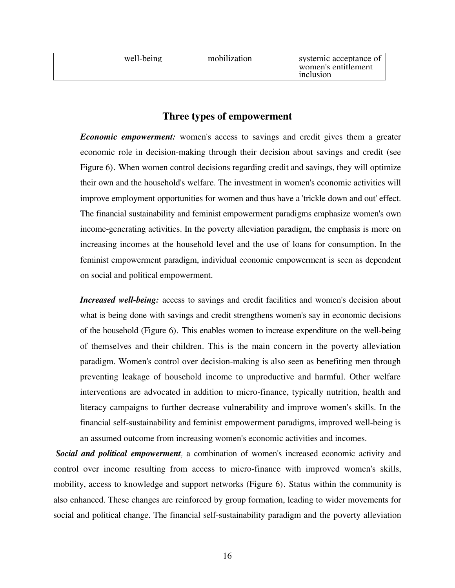| well-being | mobilization | systemic acceptance of<br>women's entitlement<br>inclusion |
|------------|--------------|------------------------------------------------------------|
|            |              |                                                            |

# **Three types of empowerment**

*Economic empowerment:* women's access to savings and credit gives them a greater economic role in decision-making through their decision about savings and credit (see Figure 6). When women control decisions regarding credit and savings, they will optimize their own and the household's welfare. The investment in women's economic activities will improve employment opportunities for women and thus have a 'trickle down and out' effect. The financial sustainability and feminist empowerment paradigms emphasize women's own income-generating activities. In the poverty alleviation paradigm, the emphasis is more on increasing incomes at the household level and the use of loans for consumption. In the feminist empowerment paradigm, individual economic empowerment is seen as dependent on social and political empowerment.

*Increased well-being:* access to savings and credit facilities and women's decision about what is being done with savings and credit strengthens women's say in economic decisions of the household (Figure 6). This enables women to increase expenditure on the well-being of themselves and their children. This is the main concern in the poverty alleviation paradigm. Women's control over decision-making is also seen as benefiting men through preventing leakage of household income to unproductive and harmful. Other welfare interventions are advocated in addition to micro-finance, typically nutrition, health and literacy campaigns to further decrease vulnerability and improve women's skills. In the financial self-sustainability and feminist empowerment paradigms, improved well-being is an assumed outcome from increasing women's economic activities and incomes.

*Social and political empowerment:* a combination of women's increased economic activity and control over income resulting from access to micro-finance with improved women's skills, mobility, access to knowledge and support networks (Figure 6). Status within the community is also enhanced. These changes are reinforced by group formation, leading to wider movements for social and political change. The financial self-sustainability paradigm and the poverty alleviation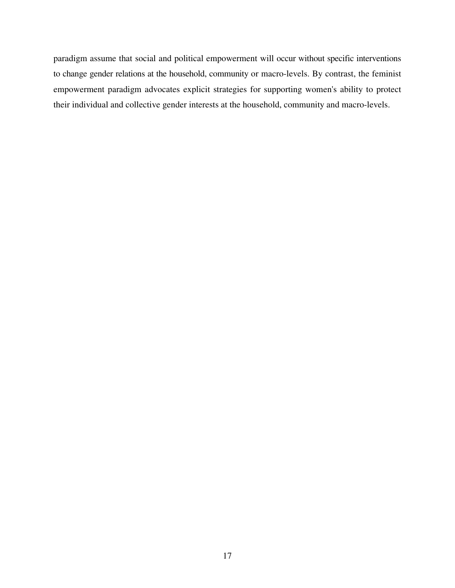paradigm assume that social and political empowerment will occur without specific interventions to change gender relations at the household, community or macro-levels. By contrast, the feminist empowerment paradigm advocates explicit strategies for supporting women's ability to protect their individual and collective gender interests at the household, community and macro-levels.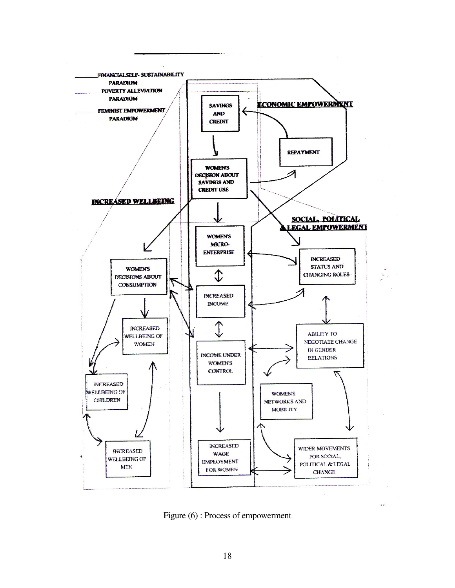

Figure (6) : Process of empowerment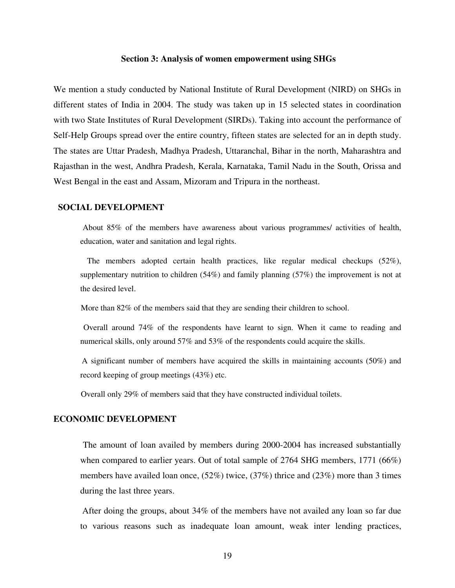#### **Section 3: Analysis of women empowerment using SHGs**

We mention a study conducted by National Institute of Rural Development (NIRD) on SHGs in different states of India in 2004. The study was taken up in 15 selected states in coordination with two State Institutes of Rural Development (SIRDs). Taking into account the performance of Self-Help Groups spread over the entire country, fifteen states are selected for an in depth study. The states are Uttar Pradesh, Madhya Pradesh, Uttaranchal, Bihar in the north, Maharashtra and Rajasthan in the west, Andhra Pradesh, Kerala, Karnataka, Tamil Nadu in the South, Orissa and West Bengal in the east and Assam, Mizoram and Tripura in the northeast.

#### **SOCIAL DEVELOPMENT**

 About 85% of the members have awareness about various programmes/ activities of health, education, water and sanitation and legal rights.

 The members adopted certain health practices, like regular medical checkups (52%), supplementary nutrition to children (54%) and family planning (57%) the improvement is not at the desired level.

More than 82% of the members said that they are sending their children to school.

 Overall around 74% of the respondents have learnt to sign. When it came to reading and numerical skills, only around 57% and 53% of the respondents could acquire the skills.

 A significant number of members have acquired the skills in maintaining accounts (50%) and record keeping of group meetings (43%) etc.

Overall only 29% of members said that they have constructed individual toilets.

#### **ECONOMIC DEVELOPMENT**

 The amount of loan availed by members during 2000-2004 has increased substantially when compared to earlier years. Out of total sample of 2764 SHG members, 1771 (66%) members have availed loan once, (52%) twice, (37%) thrice and (23%) more than 3 times during the last three years.

 After doing the groups, about 34% of the members have not availed any loan so far due to various reasons such as inadequate loan amount, weak inter lending practices,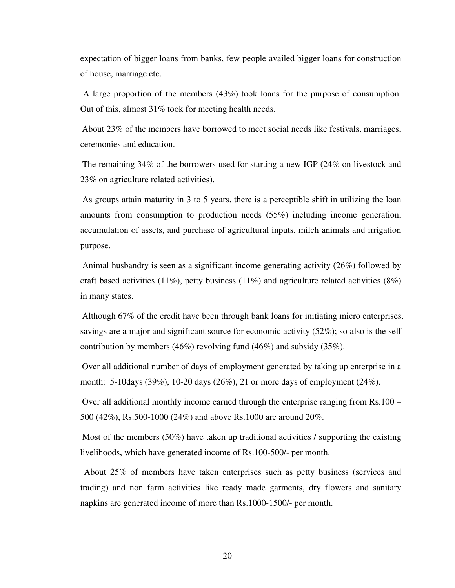expectation of bigger loans from banks, few people availed bigger loans for construction of house, marriage etc.

 A large proportion of the members (43%) took loans for the purpose of consumption. Out of this, almost 31% took for meeting health needs.

 About 23% of the members have borrowed to meet social needs like festivals, marriages, ceremonies and education.

 The remaining 34% of the borrowers used for starting a new IGP (24% on livestock and 23% on agriculture related activities).

 As groups attain maturity in 3 to 5 years, there is a perceptible shift in utilizing the loan amounts from consumption to production needs (55%) including income generation, accumulation of assets, and purchase of agricultural inputs, milch animals and irrigation purpose.

 Animal husbandry is seen as a significant income generating activity (26%) followed by craft based activities (11%), petty business (11%) and agriculture related activities (8%) in many states.

 Although 67% of the credit have been through bank loans for initiating micro enterprises, savings are a major and significant source for economic activity (52%); so also is the self contribution by members (46%) revolving fund (46%) and subsidy (35%).

 Over all additional number of days of employment generated by taking up enterprise in a month: 5-10days (39%), 10-20 days (26%), 21 or more days of employment (24%).

 Over all additional monthly income earned through the enterprise ranging from Rs.100 – 500 (42%), Rs.500-1000 (24%) and above Rs.1000 are around 20%.

 Most of the members (50%) have taken up traditional activities / supporting the existing livelihoods, which have generated income of Rs.100-500/- per month.

 About 25% of members have taken enterprises such as petty business (services and trading) and non farm activities like ready made garments, dry flowers and sanitary napkins are generated income of more than Rs.1000-1500/- per month.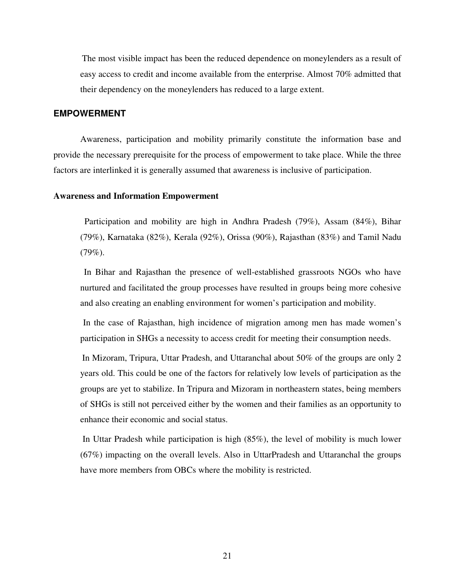The most visible impact has been the reduced dependence on moneylenders as a result of easy access to credit and income available from the enterprise. Almost 70% admitted that their dependency on the moneylenders has reduced to a large extent.

#### **EMPOWERMENT**

Awareness, participation and mobility primarily constitute the information base and provide the necessary prerequisite for the process of empowerment to take place. While the three factors are interlinked it is generally assumed that awareness is inclusive of participation.

#### **Awareness and Information Empowerment**

 Participation and mobility are high in Andhra Pradesh (79%), Assam (84%), Bihar (79%), Karnataka (82%), Kerala (92%), Orissa (90%), Rajasthan (83%) and Tamil Nadu  $(79\%).$ 

 In Bihar and Rajasthan the presence of well-established grassroots NGOs who have nurtured and facilitated the group processes have resulted in groups being more cohesive and also creating an enabling environment for women's participation and mobility.

 In the case of Rajasthan, high incidence of migration among men has made women's participation in SHGs a necessity to access credit for meeting their consumption needs.

 In Mizoram, Tripura, Uttar Pradesh, and Uttaranchal about 50% of the groups are only 2 years old. This could be one of the factors for relatively low levels of participation as the groups are yet to stabilize. In Tripura and Mizoram in northeastern states, being members of SHGs is still not perceived either by the women and their families as an opportunity to enhance their economic and social status.

 In Uttar Pradesh while participation is high (85%), the level of mobility is much lower  $(67%)$  impacting on the overall levels. Also in UttarPradesh and Uttaranchal the groups have more members from OBCs where the mobility is restricted.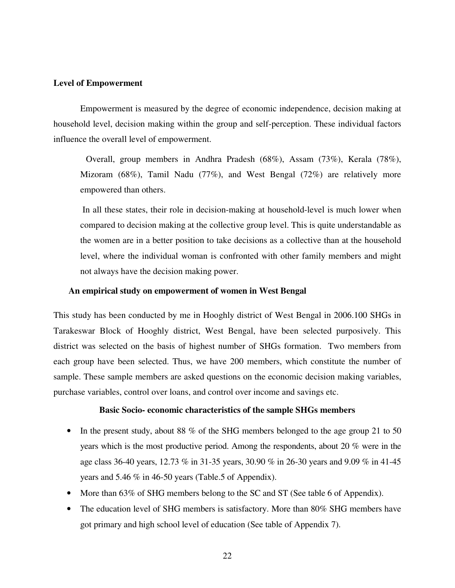#### **Level of Empowerment**

Empowerment is measured by the degree of economic independence, decision making at household level, decision making within the group and self-perception. These individual factors influence the overall level of empowerment.

 Overall, group members in Andhra Pradesh (68%), Assam (73%), Kerala (78%), Mizoram (68%), Tamil Nadu (77%), and West Bengal (72%) are relatively more empowered than others.

 In all these states, their role in decision-making at household-level is much lower when compared to decision making at the collective group level. This is quite understandable as the women are in a better position to take decisions as a collective than at the household level, where the individual woman is confronted with other family members and might not always have the decision making power.

#### **An empirical study on empowerment of women in West Bengal**

This study has been conducted by me in Hooghly district of West Bengal in 2006.100 SHGs in Tarakeswar Block of Hooghly district, West Bengal, have been selected purposively. This district was selected on the basis of highest number of SHGs formation. Two members from each group have been selected. Thus, we have 200 members, which constitute the number of sample. These sample members are asked questions on the economic decision making variables, purchase variables, control over loans, and control over income and savings etc.

#### **Basic Socio- economic characteristics of the sample SHGs members**

- In the present study, about 88 % of the SHG members belonged to the age group 21 to 50 years which is the most productive period. Among the respondents, about 20 % were in the age class 36-40 years, 12.73 % in 31-35 years, 30.90 % in 26-30 years and 9.09 % in 41-45 years and 5.46 % in 46-50 years (Table.5 of Appendix).
- More than 63% of SHG members belong to the SC and ST (See table 6 of Appendix).
- The education level of SHG members is satisfactory. More than 80% SHG members have got primary and high school level of education (See table of Appendix 7).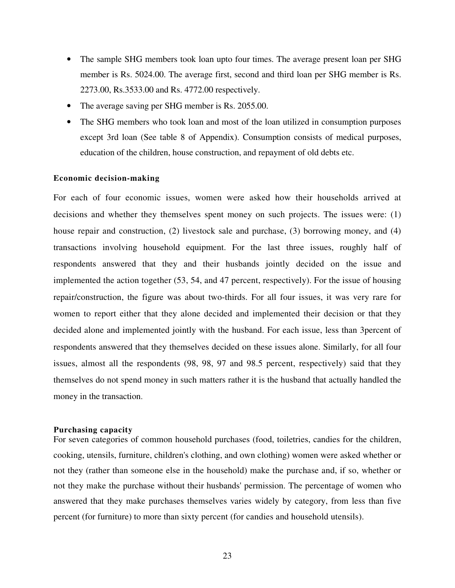- The sample SHG members took loan upto four times. The average present loan per SHG member is Rs. 5024.00. The average first, second and third loan per SHG member is Rs. 2273.00, Rs.3533.00 and Rs. 4772.00 respectively.
- The average saving per SHG member is Rs. 2055.00.
- The SHG members who took loan and most of the loan utilized in consumption purposes except 3rd loan (See table 8 of Appendix). Consumption consists of medical purposes, education of the children, house construction, and repayment of old debts etc.

#### **Economic decision-making**

For each of four economic issues, women were asked how their households arrived at decisions and whether they themselves spent money on such projects. The issues were: (1) house repair and construction, (2) livestock sale and purchase, (3) borrowing money, and (4) transactions involving household equipment. For the last three issues, roughly half of respondents answered that they and their husbands jointly decided on the issue and implemented the action together (53, 54, and 47 percent, respectively). For the issue of housing repair/construction, the figure was about two-thirds. For all four issues, it was very rare for women to report either that they alone decided and implemented their decision or that they decided alone and implemented jointly with the husband. For each issue, less than 3percent of respondents answered that they themselves decided on these issues alone. Similarly, for all four issues, almost all the respondents (98, 98, 97 and 98.5 percent, respectively) said that they themselves do not spend money in such matters rather it is the husband that actually handled the money in the transaction.

#### **Purchasing capacity**

For seven categories of common household purchases (food, toiletries, candies for the children, cooking, utensils, furniture, children's clothing, and own clothing) women were asked whether or not they (rather than someone else in the household) make the purchase and, if so, whether or not they make the purchase without their husbands' permission. The percentage of women who answered that they make purchases themselves varies widely by category, from less than five percent (for furniture) to more than sixty percent (for candies and household utensils).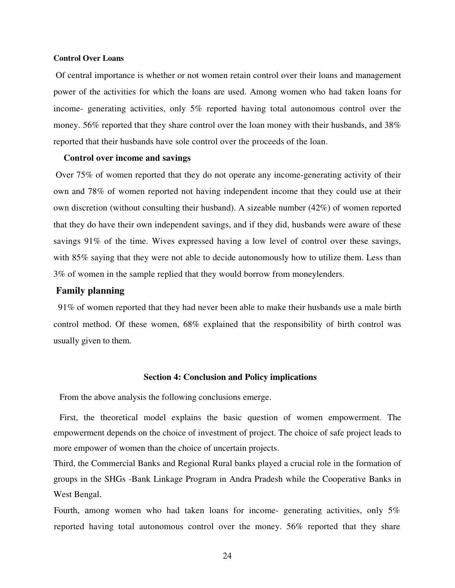#### **Control Over Loans**

 Of central importance is whether or not women retain control over their loans and management power of the activities for which the loans are used. Among women who had taken loans for income- generating activities, only 5% reported having total autonomous control over the money. 56% reported that they share control over the loan money with their husbands, and 38% reported that their husbands have sole control over the proceeds of the loan.

#### **Control over income and savings**

 Over 75% of women reported that they do not operate any income-generating activity of their own and 78% of women reported not having independent income that they could use at their own discretion (without consulting their husband). A sizeable number (42%) of women reported that they do have their own independent savings, and if they did, husbands were aware of these savings 91% of the time. Wives expressed having a low level of control over these savings, with 85% saying that they were not able to decide autonomously how to utilize them. Less than 3% of women in the sample replied that they would borrow from moneylenders.

#### **Family planning**

 91% of women reported that they had never been able to make their husbands use a male birth control method. Of these women, 68% explained that the responsibility of birth control was usually given to them.

#### **Section 4: Conclusion and Policy implications**

From the above analysis the following conclusions emerge.

First, the theoretical model explains the basic question of women empowerment. The empowerment depends on the choice of investment of project. The choice of safe project leads to more empower of women than the choice of uncertain projects.

Third, the Commercial Banks and Regional Rural banks played a crucial role in the formation of groups in the SHGs -Bank Linkage Program in Andra Pradesh while the Cooperative Banks in West Bengal.

Fourth, among women who had taken loans for income- generating activities, only 5% reported having total autonomous control over the money. 56% reported that they share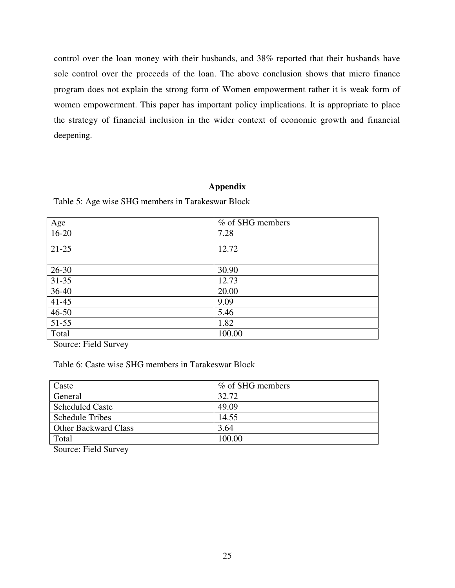control over the loan money with their husbands, and 38% reported that their husbands have sole control over the proceeds of the loan. The above conclusion shows that micro finance program does not explain the strong form of Women empowerment rather it is weak form of women empowerment. This paper has important policy implications. It is appropriate to place the strategy of financial inclusion in the wider context of economic growth and financial deepening.

### **Appendix**

| Age       | % of SHG members |
|-----------|------------------|
| $16 - 20$ | 7.28             |
| $21-25$   | 12.72            |
| $26 - 30$ | 30.90            |
| $31 - 35$ | 12.73            |
| 36-40     | 20.00            |
| $41 - 45$ | 9.09             |
| $46 - 50$ | 5.46             |
| $51 - 55$ | 1.82             |
| Total     | 100.00           |

Table 5: Age wise SHG members in Tarakeswar Block

Source: Field Survey

Table 6: Caste wise SHG members in Tarakeswar Block

| Caste                       | % of SHG members |
|-----------------------------|------------------|
| General                     | 32.72            |
| <b>Scheduled Caste</b>      | 49.09            |
| <b>Schedule Tribes</b>      | 14.55            |
| <b>Other Backward Class</b> | 3.64             |
| Total                       | 100.00           |
|                             |                  |

Source: Field Survey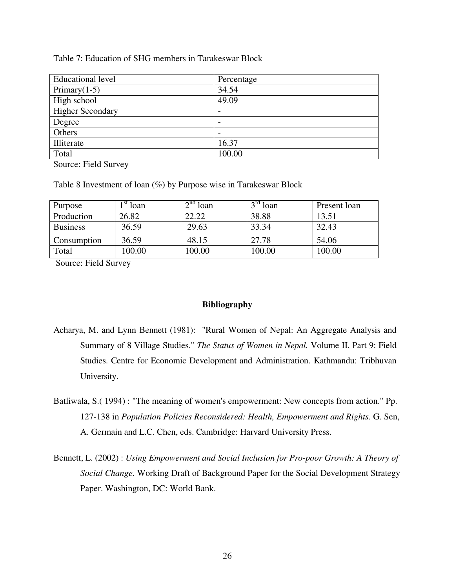### Table 7: Education of SHG members in Tarakeswar Block

| <b>Educational level</b> | Percentage               |
|--------------------------|--------------------------|
| Primary $(1-5)$          | 34.54                    |
| High school              | 49.09                    |
| <b>Higher Secondary</b>  | $\overline{\phantom{0}}$ |
| Degree                   |                          |
| Others                   | $\overline{\phantom{a}}$ |
| Illiterate               | 16.37                    |
| Total                    | 100.00                   |

Source: Field Survey

Table 8 Investment of loan (%) by Purpose wise in Tarakeswar Block

| Purpose         | st<br>loan | $\lambda$ nd <sub>1</sub><br>loan | $2^{\Omega}$<br>loan | Present loan |
|-----------------|------------|-----------------------------------|----------------------|--------------|
| Production      | 26.82      | 22.22                             | 38.88                | 13.51        |
| <b>Business</b> | 36.59      | 29.63                             | 33.34                | 32.43        |
| Consumption     | 36.59      | 48.15                             | 27.78                | 54.06        |
| Total           | 100.00     | 100.00                            | 100.00               | 100.00       |

Source: Field Survey

## **Bibliography**

- Acharya, M. and Lynn Bennett (1981): "Rural Women of Nepal: An Aggregate Analysis and Summary of 8 Village Studies." *The Status of Women in Nepal.* Volume II, Part 9: Field Studies. Centre for Economic Development and Administration. Kathmandu: Tribhuvan University.
- Batliwala, S.( 1994) : "The meaning of women's empowerment: New concepts from action." Pp. 127-138 in *Population Policies Reconsidered: Health, Empowerment and Rights.* G. Sen, A. Germain and L.C. Chen, eds. Cambridge: Harvard University Press.
- Bennett, L. (2002) : *Using Empowerment and Social Inclusion for Pro-poor Growth: A Theory of Social Change.* Working Draft of Background Paper for the Social Development Strategy Paper. Washington, DC: World Bank.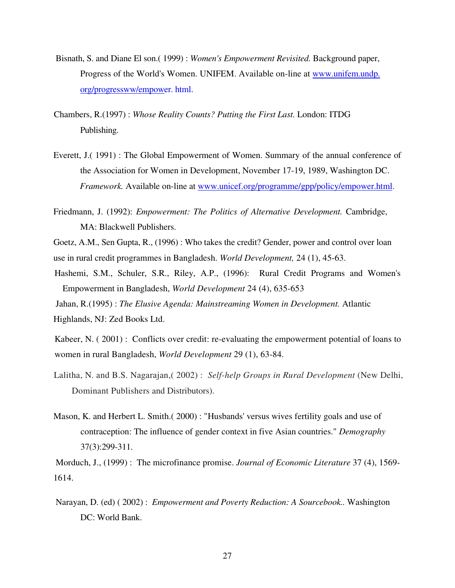- Bisnath, S. and Diane El son.( 1999) : *Women's Empowerment Revisited.* Background paper, Progress of the World's Women. UNIFEM. Available on-line at www.unifem.undp. org/progressww/empower. html.
- Chambers, R.(1997) : *Whose Reality Counts? Putting the First Last.* London: ITDG Publishing.
- Everett, J.( 1991) : The Global Empowerment of Women. Summary of the annual conference of the Association for Women in Development, November 17-19, 1989, Washington DC. *Framework.* Available on-line at www.unicef.org/programme/gpp/policy/empower.html.
- Friedmann, J. (1992): *Empowerment: The Politics of Alternative Development.* Cambridge, MA: Blackwell Publishers.

Goetz, A.M., Sen Gupta, R., (1996) : Who takes the credit? Gender, power and control over loan use in rural credit programmes in Bangladesh. *World Development,* 24 (1), 45-63.

Hashemi, S.M., Schuler, S.R., Riley, A.P., (1996): Rural Credit Programs and Women's Empowerment in Bangladesh, *World Development* 24 (4), 635-653

 Jahan, R.(1995) : *The Elusive Agenda: Mainstreaming Women in Development.* Atlantic Highlands, NJ: Zed Books Ltd.

Kabeer, N. ( 2001) : Conflicts over credit: re-evaluating the empowerment potential of loans to women in rural Bangladesh, *World Development* 29 (1), 63-84.

- Lalitha, N. and B.S. Nagarajan,( 2002) : *Self-help Groups in Rural Development* (New Delhi, Dominant Publishers and Distributors).
- Mason, K. and Herbert L. Smith.( 2000) : "Husbands' versus wives fertility goals and use of contraception: The influence of gender context in five Asian countries." *Demography*  37(3):299-311.

 Morduch, J., (1999) : The microfinance promise. *Journal of Economic Literature* 37 (4), 1569- 1614.

 Narayan, D. (ed) ( 2002) : *Empowerment and Poverty Reduction: A Sourcebook..* Washington DC: World Bank.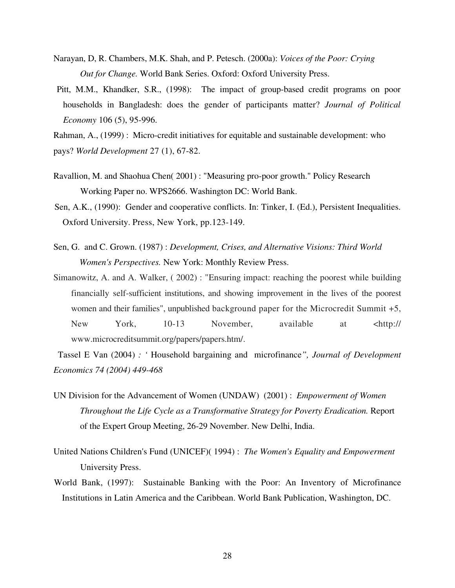- Narayan, D, R. Chambers, M.K. Shah, and P. Petesch. (2000a): *Voices of the Poor: Crying Out for Change.* World Bank Series. Oxford: Oxford University Press.
- Pitt, M.M., Khandker, S.R., (1998): The impact of group-based credit programs on poor households in Bangladesh: does the gender of participants matter? *Journal of Political Economy* 106 (5), 95-996.
- Rahman, A., (1999) : Micro-credit initiatives for equitable and sustainable development: who pays? *World Development* 27 (1), 67-82.
- Ravallion, M. and Shaohua Chen( 2001) : "Measuring pro-poor growth." Policy Research Working Paper no. WPS2666. Washington DC: World Bank.
- Sen, A.K., (1990): Gender and cooperative conflicts. In: Tinker, I. (Ed.), Persistent Inequalities. Oxford University. Press, New York, pp.123-149.
- Sen, G. and C. Grown. (1987) : *Development, Crises, and Alternative Visions: Third World Women's Perspectives.* New York: Monthly Review Press.
- Simanowitz, A. and A. Walker, ( 2002) : "Ensuring impact: reaching the poorest while building financially self-sufficient institutions, and showing improvement in the lives of the poorest women and their families", unpublished background paper for the Microcredit Summit +5, New York, 10-13 November, available at <http:// www.microcreditsummit.org/papers/papers.htm/.

 Tassel E Van (2004) *: '* Household bargaining and microfinance*", Journal of Development Economics 74 (2004) 449-468* 

- UN Division for the Advancement of Women (UNDAW) (2001) : *Empowerment of Women Throughout the Life Cycle as a Transformative Strategy for Poverty Eradication.* Report of the Expert Group Meeting, 26-29 November. New Delhi, India.
- United Nations Children's Fund (UNICEF)( 1994) : *The Women's Equality and Empowerment* University Press.
- World Bank, (1997): Sustainable Banking with the Poor: An Inventory of Microfinance Institutions in Latin America and the Caribbean. World Bank Publication, Washington, DC.